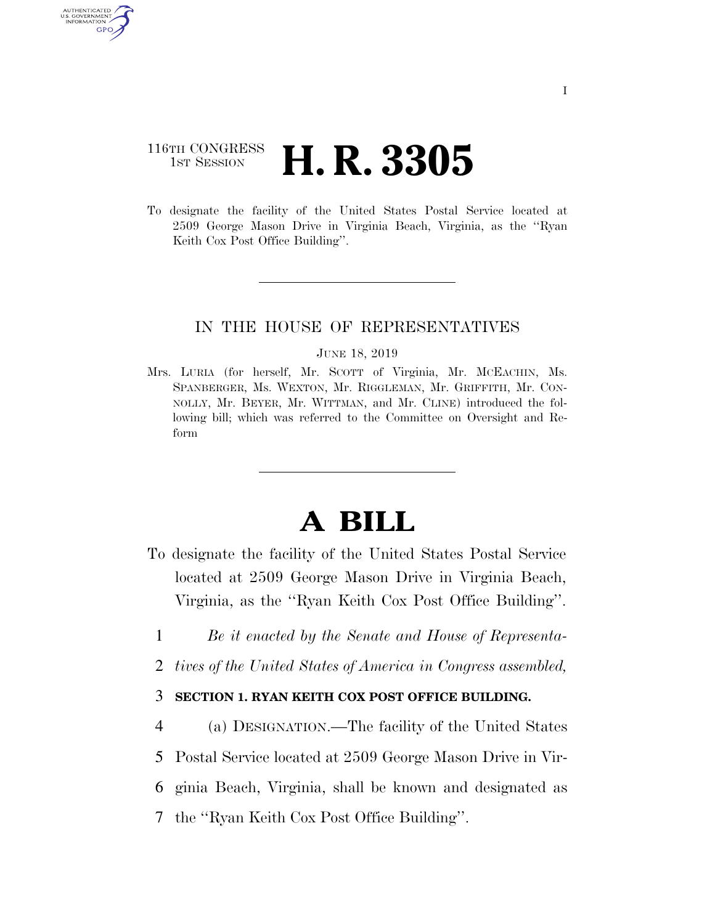# 116TH CONGRESS **1st Session H. R. 3305**

AUTHENTICATED U.S. GOVERNMENT GPO

> To designate the facility of the United States Postal Service located at 2509 George Mason Drive in Virginia Beach, Virginia, as the ''Ryan Keith Cox Post Office Building''.

## IN THE HOUSE OF REPRESENTATIVES

#### JUNE 18, 2019

Mrs. LURIA (for herself, Mr. SCOTT of Virginia, Mr. MCEACHIN, Ms. SPANBERGER, Ms. WEXTON, Mr. RIGGLEMAN, Mr. GRIFFITH, Mr. CON-NOLLY, Mr. BEYER, Mr. WITTMAN, and Mr. CLINE) introduced the following bill; which was referred to the Committee on Oversight and Reform

# **A BILL**

- To designate the facility of the United States Postal Service located at 2509 George Mason Drive in Virginia Beach, Virginia, as the ''Ryan Keith Cox Post Office Building''.
	- 1 *Be it enacted by the Senate and House of Representa-*
	- 2 *tives of the United States of America in Congress assembled,*

## 3 **SECTION 1. RYAN KEITH COX POST OFFICE BUILDING.**

4 (a) DESIGNATION.—The facility of the United States

5 Postal Service located at 2509 George Mason Drive in Vir-

6 ginia Beach, Virginia, shall be known and designated as

7 the ''Ryan Keith Cox Post Office Building''.